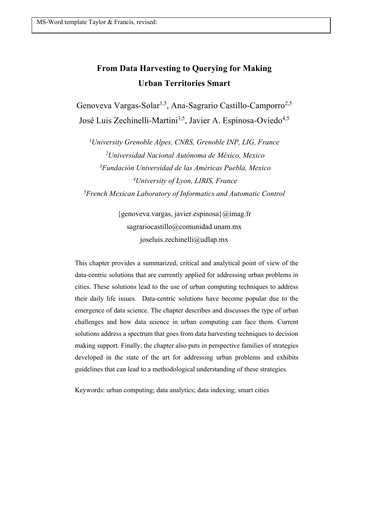# **From Data Harvesting to Querying for Making Urban Territories Smart**

Genoveva Vargas-Solar<sup>1,5</sup>, Ana-Sagrario Castillo-Camporro<sup>2,5</sup> José Luis Zechinelli-Martini<sup>3,5</sup>, Javier A. Espinosa-Oviedo<sup>4,5</sup>

 *University Grenoble Alpes, CNRS, Grenoble INP, LIG, France Universidad Nacional Autónoma de México, Mexico Fundación Universidad de las Américas Puebla, Mexico University of Lyon, LIRIS, France French Mexican Laboratory of Informatics and Automatic Control*

> {genoveva.vargas, javier.espinosa}@imag.fr sagrariocastillo@comunidad.unam.mx joseluis.zechinelli@udlap.mx

This chapter provides a summarized, critical and analytical point of view of the data-centric solutions that are currently applied for addressing urban problems in cities. These solutions lead to the use of urban computing techniques to address their daily life issues. Data-centric solutions have become popular due to the emergence of data science. The chapter describes and discusses the type of urban challenges and how data science in urban computing can face them. Current solutions address a spectrum that goes from data harvesting techniques to decision making support. Finally, the chapter also puts in perspective families of strategies developed in the state of the art for addressing urban problems and exhibits guidelines that can lead to a methodological understanding of these strategies.

Keywords: urban computing; data analytics; data indexing; smart cities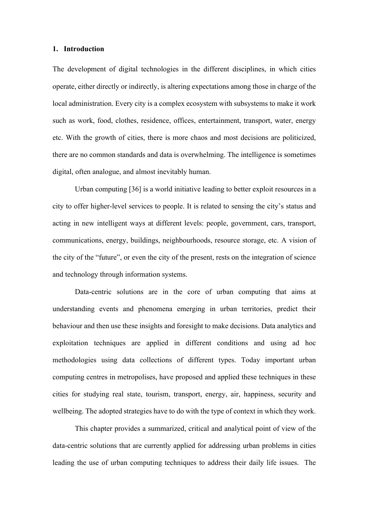#### **1. Introduction**

The development of digital technologies in the different disciplines, in which cities operate, either directly or indirectly, is altering expectations among those in charge of the local administration. Every city is a complex ecosystem with subsystems to make it work such as work, food, clothes, residence, offices, entertainment, transport, water, energy etc. With the growth of cities, there is more chaos and most decisions are politicized, there are no common standards and data is overwhelming. The intelligence is sometimes digital, often analogue, and almost inevitably human.

Urban computing [36] is a world initiative leading to better exploit resources in a city to offer higher-level services to people. It is related to sensing the city's status and acting in new intelligent ways at different levels: people, government, cars, transport, communications, energy, buildings, neighbourhoods, resource storage, etc. A vision of the city of the "future", or even the city of the present, rests on the integration of science and technology through information systems.

Data-centric solutions are in the core of urban computing that aims at understanding events and phenomena emerging in urban territories, predict their behaviour and then use these insights and foresight to make decisions. Data analytics and exploitation techniques are applied in different conditions and using ad hoc methodologies using data collections of different types. Today important urban computing centres in metropolises, have proposed and applied these techniques in these cities for studying real state, tourism, transport, energy, air, happiness, security and wellbeing. The adopted strategies have to do with the type of context in which they work.

This chapter provides a summarized, critical and analytical point of view of the data-centric solutions that are currently applied for addressing urban problems in cities leading the use of urban computing techniques to address their daily life issues. The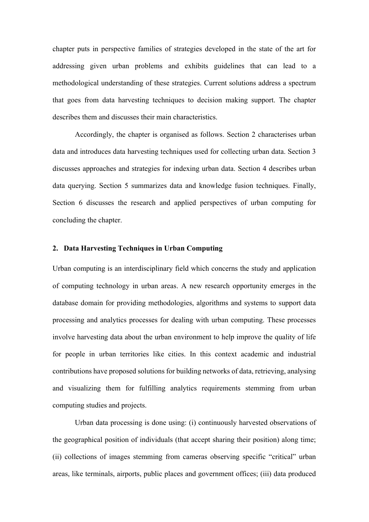chapter puts in perspective families of strategies developed in the state of the art for addressing given urban problems and exhibits guidelines that can lead to a methodological understanding of these strategies. Current solutions address a spectrum that goes from data harvesting techniques to decision making support. The chapter describes them and discusses their main characteristics.

Accordingly, the chapter is organised as follows. Section 2 characterises urban data and introduces data harvesting techniques used for collecting urban data. Section 3 discusses approaches and strategies for indexing urban data. Section 4 describes urban data querying. Section 5 summarizes data and knowledge fusion techniques. Finally, Section 6 discusses the research and applied perspectives of urban computing for concluding the chapter.

## **2. Data Harvesting Techniques in Urban Computing**

Urban computing is an interdisciplinary field which concerns the study and application of computing technology in urban areas. A new research opportunity emerges in the database domain for providing methodologies, algorithms and systems to support data processing and analytics processes for dealing with urban computing. These processes involve harvesting data about the urban environment to help improve the quality of life for people in urban territories like cities. In this context academic and industrial contributions have proposed solutions for building networks of data, retrieving, analysing and visualizing them for fulfilling analytics requirements stemming from urban computing studies and projects.

Urban data processing is done using: (i) continuously harvested observations of the geographical position of individuals (that accept sharing their position) along time; (ii) collections of images stemming from cameras observing specific "critical" urban areas, like terminals, airports, public places and government offices; (iii) data produced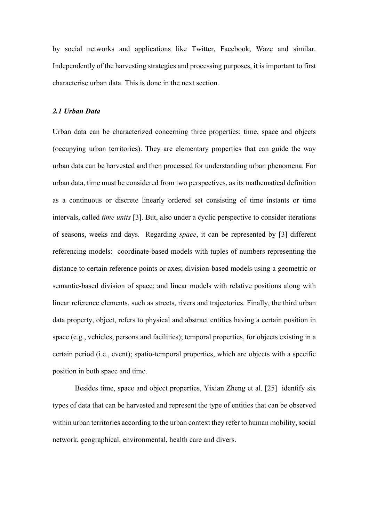by social networks and applications like Twitter, Facebook, Waze and similar. Independently of the harvesting strategies and processing purposes, it is important to first characterise urban data. This is done in the next section.

#### *2.1 Urban Data*

Urban data can be characterized concerning three properties: time, space and objects (occupying urban territories). They are elementary properties that can guide the way urban data can be harvested and then processed for understanding urban phenomena. For urban data, time must be considered from two perspectives, as its mathematical definition as a continuous or discrete linearly ordered set consisting of time instants or time intervals, called *time units* [3]. But, also under a cyclic perspective to consider iterations of seasons, weeks and days. Regarding *space*, it can be represented by [3] different referencing models: coordinate-based models with tuples of numbers representing the distance to certain reference points or axes; division-based models using a geometric or semantic-based division of space; and linear models with relative positions along with linear reference elements, such as streets, rivers and trajectories. Finally, the third urban data property, object, refers to physical and abstract entities having a certain position in space (e.g., vehicles, persons and facilities); temporal properties, for objects existing in a certain period (i.e., event); spatio-temporal properties, which are objects with a specific position in both space and time.

Besides time, space and object properties, Yixian Zheng et al. [25] identify six types of data that can be harvested and represent the type of entities that can be observed within urban territories according to the urban context they refer to human mobility, social network, geographical, environmental, health care and divers.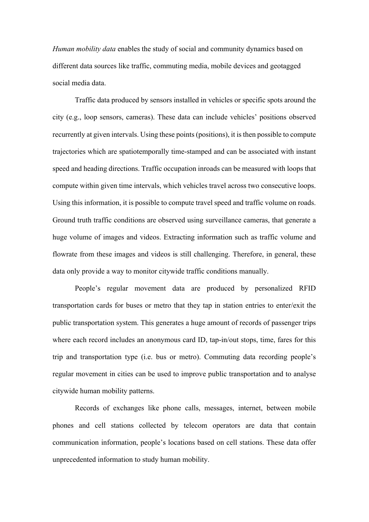*Human mobility data* enables the study of social and community dynamics based on different data sources like traffic, commuting media, mobile devices and geotagged social media data.

Traffic data produced by sensors installed in vehicles or specific spots around the city (e.g., loop sensors, cameras). These data can include vehicles' positions observed recurrently at given intervals. Using these points (positions), it is then possible to compute trajectories which are spatiotemporally time-stamped and can be associated with instant speed and heading directions. Traffic occupation inroads can be measured with loops that compute within given time intervals, which vehicles travel across two consecutive loops. Using this information, it is possible to compute travel speed and traffic volume on roads. Ground truth traffic conditions are observed using surveillance cameras, that generate a huge volume of images and videos. Extracting information such as traffic volume and flowrate from these images and videos is still challenging. Therefore, in general, these data only provide a way to monitor citywide traffic conditions manually.

People's regular movement data are produced by personalized RFID transportation cards for buses or metro that they tap in station entries to enter/exit the public transportation system. This generates a huge amount of records of passenger trips where each record includes an anonymous card ID, tap-in/out stops, time, fares for this trip and transportation type (i.e. bus or metro). Commuting data recording people's regular movement in cities can be used to improve public transportation and to analyse citywide human mobility patterns.

Records of exchanges like phone calls, messages, internet, between mobile phones and cell stations collected by telecom operators are data that contain communication information, people's locations based on cell stations. These data offer unprecedented information to study human mobility.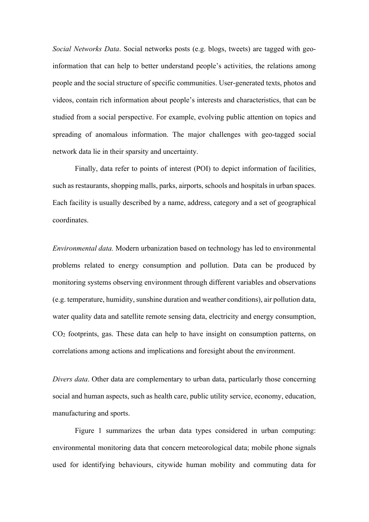*Social Networks Data*. Social networks posts (e.g. blogs, tweets) are tagged with geoinformation that can help to better understand people's activities, the relations among people and the social structure of specific communities. User-generated texts, photos and videos, contain rich information about people's interests and characteristics, that can be studied from a social perspective. For example, evolving public attention on topics and spreading of anomalous information. The major challenges with geo-tagged social network data lie in their sparsity and uncertainty.

Finally, data refer to points of interest (POI) to depict information of facilities, such as restaurants, shopping malls, parks, airports, schools and hospitals in urban spaces. Each facility is usually described by a name, address, category and a set of geographical coordinates.

*Environmental data.* Modern urbanization based on technology has led to environmental problems related to energy consumption and pollution. Data can be produced by monitoring systems observing environment through different variables and observations (e.g. temperature, humidity, sunshine duration and weather conditions), air pollution data, water quality data and satellite remote sensing data, electricity and energy consumption, CO2 footprints, gas. These data can help to have insight on consumption patterns, on correlations among actions and implications and foresight about the environment.

*Divers data*. Other data are complementary to urban data, particularly those concerning social and human aspects, such as health care, public utility service, economy, education, manufacturing and sports.

Figure 1 summarizes the urban data types considered in urban computing: environmental monitoring data that concern meteorological data; mobile phone signals used for identifying behaviours, citywide human mobility and commuting data for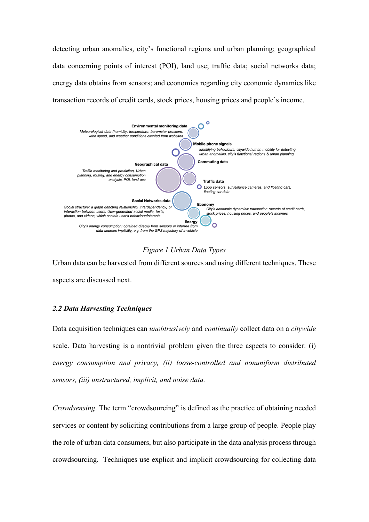detecting urban anomalies, city's functional regions and urban planning; geographical data concerning points of interest (POI), land use; traffic data; social networks data; energy data obtains from sensors; and economies regarding city economic dynamics like transaction records of credit cards, stock prices, housing prices and people's income.



*Figure 1 Urban Data Types*

Urban data can be harvested from different sources and using different techniques. These aspects are discussed next.

# *2.2 Data Harvesting Techniques*

Data acquisition techniques can *unobtrusively* and *continually* collect data on a *citywide*  scale. Data harvesting is a nontrivial problem given the three aspects to consider: (i) e*nergy consumption and privacy, (ii) loose-controlled and nonuniform distributed sensors, (iii) unstructured, implicit, and noise data.*

*Crowdsensing*. The term "crowdsourcing" is defined as the practice of obtaining needed services or content by soliciting contributions from a large group of people. People play the role of urban data consumers, but also participate in the data analysis process through crowdsourcing. Techniques use explicit and implicit crowdsourcing for collecting data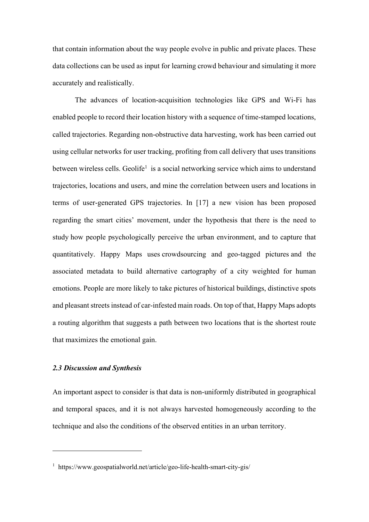that contain information about the way people evolve in public and private places. These data collections can be used as input for learning crowd behaviour and simulating it more accurately and realistically.

The advances of location-acquisition technologies like GPS and Wi-Fi has enabled people to record their location history with a sequence of time-stamped locations, called trajectories. Regarding non-obstructive data harvesting, work has been carried out using cellular networks for user tracking, profiting from call delivery that uses transitions between wireless cells. Geolife<sup>1</sup> is a social networking service which aims to understand trajectories, locations and users, and mine the correlation between users and locations in terms of user-generated GPS trajectories. In [17] a new vision has been proposed regarding the smart cities' movement, under the hypothesis that there is the need to study how people psychologically perceive the urban environment, and to capture that quantitatively. Happy Maps uses crowdsourcing and geo-tagged pictures and the associated metadata to build alternative cartography of a city weighted for human emotions. People are more likely to take pictures of historical buildings, distinctive spots and pleasant streets instead of car-infested main roads. On top of that, Happy Maps adopts a routing algorithm that suggests a path between two locations that is the shortest route that maximizes the emotional gain.

# *2.3 Discussion and Synthesis*

An important aspect to consider is that data is non-uniformly distributed in geographical and temporal spaces, and it is not always harvested homogeneously according to the technique and also the conditions of the observed entities in an urban territory.

<sup>&</sup>lt;sup>1</sup> https://www.geospatialworld.net/article/geo-life-health-smart-city-gis/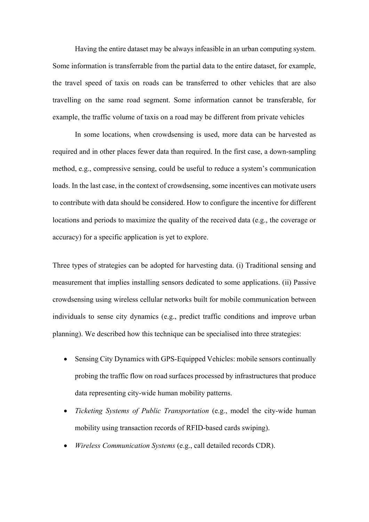Having the entire dataset may be always infeasible in an urban computing system. Some information is transferrable from the partial data to the entire dataset, for example, the travel speed of taxis on roads can be transferred to other vehicles that are also travelling on the same road segment. Some information cannot be transferable, for example, the traffic volume of taxis on a road may be different from private vehicles

In some locations, when crowdsensing is used, more data can be harvested as required and in other places fewer data than required. In the first case, a down-sampling method, e.g., compressive sensing, could be useful to reduce a system's communication loads. In the last case, in the context of crowdsensing, some incentives can motivate users to contribute with data should be considered. How to configure the incentive for different locations and periods to maximize the quality of the received data (e.g., the coverage or accuracy) for a specific application is yet to explore.

Three types of strategies can be adopted for harvesting data. (i) Traditional sensing and measurement that implies installing sensors dedicated to some applications. (ii) Passive crowdsensing using wireless cellular networks built for mobile communication between individuals to sense city dynamics (e.g., predict traffic conditions and improve urban planning). We described how this technique can be specialised into three strategies:

- Sensing City Dynamics with GPS-Equipped Vehicles: mobile sensors continually probing the traffic flow on road surfaces processed by infrastructures that produce data representing city-wide human mobility patterns.
- *Ticketing Systems of Public Transportation* (e.g., model the city-wide human mobility using transaction records of RFID-based cards swiping).
- *Wireless Communication Systems* (e.g., call detailed records CDR).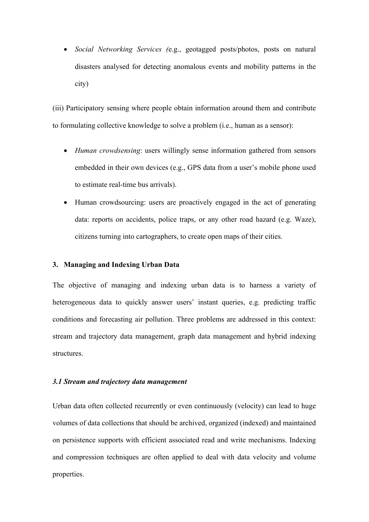• *Social Networking Services (*e.g., geotagged posts/photos, posts on natural disasters analysed for detecting anomalous events and mobility patterns in the city)

(iii) Participatory sensing where people obtain information around them and contribute to formulating collective knowledge to solve a problem (i.e., human as a sensor):

- *Human crowdsensing*: users willingly sense information gathered from sensors embedded in their own devices (e.g., GPS data from a user's mobile phone used to estimate real-time bus arrivals).
- Human crowdsourcing: users are proactively engaged in the act of generating data: reports on accidents, police traps, or any other road hazard (e.g. Waze), citizens turning into cartographers, to create open maps of their cities.

#### **3. Managing and Indexing Urban Data**

The objective of managing and indexing urban data is to harness a variety of heterogeneous data to quickly answer users' instant queries, e.g. predicting traffic conditions and forecasting air pollution. Three problems are addressed in this context: stream and trajectory data management, graph data management and hybrid indexing structures.

#### *3.1 Stream and trajectory data management*

Urban data often collected recurrently or even continuously (velocity) can lead to huge volumes of data collections that should be archived, organized (indexed) and maintained on persistence supports with efficient associated read and write mechanisms. Indexing and compression techniques are often applied to deal with data velocity and volume properties.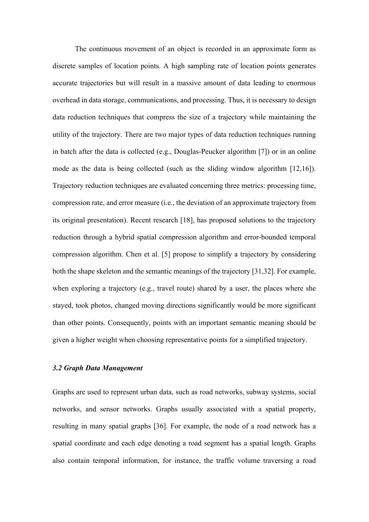The continuous movement of an object is recorded in an approximate form as discrete samples of location points. A high sampling rate of location points generates accurate trajectories but will result in a massive amount of data leading to enormous overhead in data storage, communications, and processing. Thus, it is necessary to design data reduction techniques that compress the size of a trajectory while maintaining the utility of the trajectory. There are two major types of data reduction techniques running in batch after the data is collected (e.g., Douglas-Peucker algorithm [7]) or in an online mode as the data is being collected (such as the sliding window algorithm [12,16]). Trajectory reduction techniques are evaluated concerning three metrics: processing time, compression rate, and error measure (i.e., the deviation of an approximate trajectory from its original presentation). Recent research [18], has proposed solutions to the trajectory reduction through a hybrid spatial compression algorithm and error-bounded temporal compression algorithm. Chen et al. [5] propose to simplify a trajectory by considering both the shape skeleton and the semantic meanings of the trajectory [31,32]. For example, when exploring a trajectory (e.g., travel route) shared by a user, the places where she stayed, took photos, changed moving directions significantly would be more significant than other points. Consequently, points with an important semantic meaning should be given a higher weight when choosing representative points for a simplified trajectory.

# *3.2 Graph Data Management*

Graphs are used to represent urban data, such as road networks, subway systems, social networks, and sensor networks. Graphs usually associated with a spatial property, resulting in many spatial graphs [36]. For example, the node of a road network has a spatial coordinate and each edge denoting a road segment has a spatial length. Graphs also contain temporal information, for instance, the traffic volume traversing a road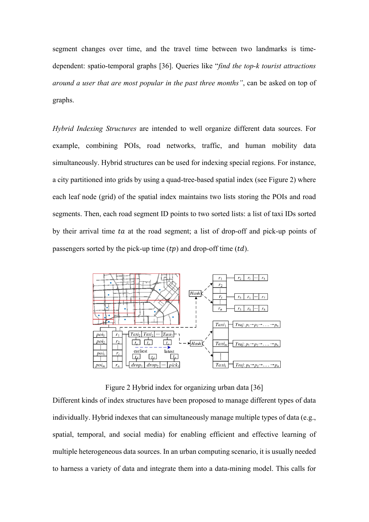segment changes over time, and the travel time between two landmarks is timedependent: spatio-temporal graphs [36]. Queries like "*find the top-k tourist attractions around a user that are most popular in the past three months"*, can be asked on top of graphs.

*Hybrid Indexing Structures* are intended to well organize different data sources. For example, combining POIs, road networks, traffic, and human mobility data simultaneously. Hybrid structures can be used for indexing special regions. For instance, a city partitioned into grids by using a quad-tree-based spatial index (see Figure 2) where each leaf node (grid) of the spatial index maintains two lists storing the POIs and road segments. Then, each road segment ID points to two sorted lists: a list of taxi IDs sorted by their arrival time  $ta$  at the road segment; a list of drop-off and pick-up points of passengers sorted by the pick-up time  $(tp)$  and drop-off time  $(td)$ .



Figure 2 Hybrid index for organizing urban data [36]

Different kinds of index structures have been proposed to manage different types of data individually. Hybrid indexes that can simultaneously manage multiple types of data (e.g., spatial, temporal, and social media) for enabling efficient and effective learning of multiple heterogeneous data sources. In an urban computing scenario, it is usually needed to harness a variety of data and integrate them into a data-mining model. This calls for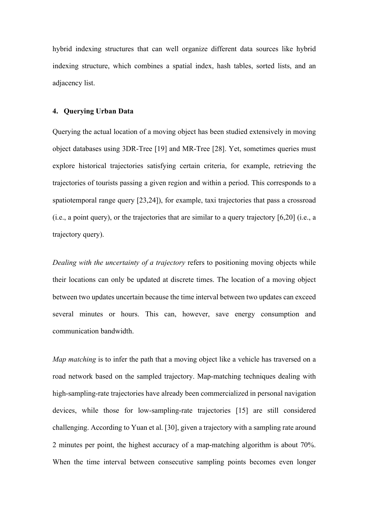hybrid indexing structures that can well organize different data sources like hybrid indexing structure, which combines a spatial index, hash tables, sorted lists, and an adjacency list.

## **4. Querying Urban Data**

Querying the actual location of a moving object has been studied extensively in moving object databases using 3DR-Tree [19] and MR-Tree [28]. Yet, sometimes queries must explore historical trajectories satisfying certain criteria, for example, retrieving the trajectories of tourists passing a given region and within a period. This corresponds to a spatiotemporal range query [23,24]), for example, taxi trajectories that pass a crossroad (i.e., a point query), or the trajectories that are similar to a query trajectory [6,20] (i.e., a trajectory query).

*Dealing with the uncertainty of a trajectory* refers to positioning moving objects while their locations can only be updated at discrete times. The location of a moving object between two updates uncertain because the time interval between two updates can exceed several minutes or hours. This can, however, save energy consumption and communication bandwidth.

*Map matching* is to infer the path that a moving object like a vehicle has traversed on a road network based on the sampled trajectory. Map-matching techniques dealing with high-sampling-rate trajectories have already been commercialized in personal navigation devices, while those for low-sampling-rate trajectories [15] are still considered challenging. According to Yuan et al. [30], given a trajectory with a sampling rate around 2 minutes per point, the highest accuracy of a map-matching algorithm is about 70%. When the time interval between consecutive sampling points becomes even longer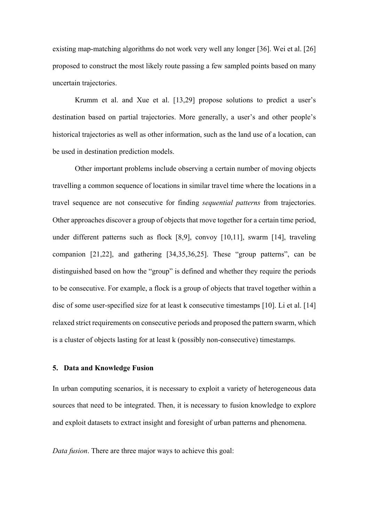existing map-matching algorithms do not work very well any longer [36]. Wei et al. [26] proposed to construct the most likely route passing a few sampled points based on many uncertain trajectories.

Krumm et al. and Xue et al. [13,29] propose solutions to predict a user's destination based on partial trajectories. More generally, a user's and other people's historical trajectories as well as other information, such as the land use of a location, can be used in destination prediction models.

Other important problems include observing a certain number of moving objects travelling a common sequence of locations in similar travel time where the locations in a travel sequence are not consecutive for finding *sequential patterns* from trajectories. Other approaches discover a group of objects that move together for a certain time period, under different patterns such as flock [8,9], convoy [10,11], swarm [14], traveling companion [21,22], and gathering [34,35,36,25]. These "group patterns", can be distinguished based on how the "group" is defined and whether they require the periods to be consecutive. For example, a flock is a group of objects that travel together within a disc of some user-specified size for at least k consecutive timestamps [10]. Li et al. [14] relaxed strict requirements on consecutive periods and proposed the pattern swarm, which is a cluster of objects lasting for at least k (possibly non-consecutive) timestamps.

#### **5. Data and Knowledge Fusion**

In urban computing scenarios, it is necessary to exploit a variety of heterogeneous data sources that need to be integrated. Then, it is necessary to fusion knowledge to explore and exploit datasets to extract insight and foresight of urban patterns and phenomena.

*Data fusion*. There are three major ways to achieve this goal: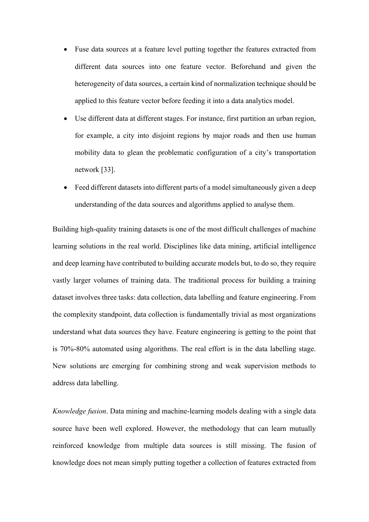- Fuse data sources at a feature level putting together the features extracted from different data sources into one feature vector. Beforehand and given the heterogeneity of data sources, a certain kind of normalization technique should be applied to this feature vector before feeding it into a data analytics model.
- Use different data at different stages. For instance, first partition an urban region, for example, a city into disjoint regions by major roads and then use human mobility data to glean the problematic configuration of a city's transportation network [33].
- Feed different datasets into different parts of a model simultaneously given a deep understanding of the data sources and algorithms applied to analyse them.

Building high-quality training datasets is one of the most difficult challenges of machine learning solutions in the real world. Disciplines like data mining, artificial intelligence and deep learning have contributed to building accurate models but, to do so, they require vastly larger volumes of training data. The traditional process for building a training dataset involves three tasks: data collection, data labelling and feature engineering. From the complexity standpoint, data collection is fundamentally trivial as most organizations understand what data sources they have. Feature engineering is getting to the point that is 70%-80% automated using algorithms. The real effort is in the data labelling stage. New solutions are emerging for combining strong and weak supervision methods to address data labelling.

*Knowledge fusion*. Data mining and machine-learning models dealing with a single data source have been well explored. However, the methodology that can learn mutually reinforced knowledge from multiple data sources is still missing. The fusion of knowledge does not mean simply putting together a collection of features extracted from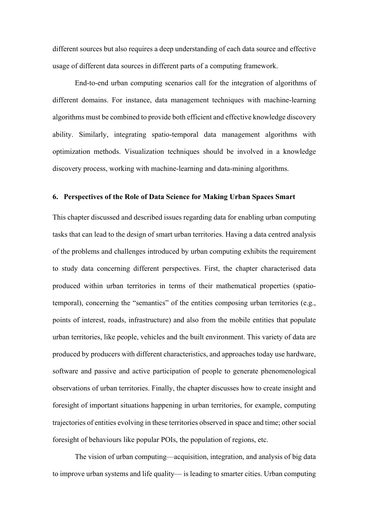different sources but also requires a deep understanding of each data source and effective usage of different data sources in different parts of a computing framework.

End-to-end urban computing scenarios call for the integration of algorithms of different domains. For instance, data management techniques with machine-learning algorithms must be combined to provide both efficient and effective knowledge discovery ability. Similarly, integrating spatio-temporal data management algorithms with optimization methods. Visualization techniques should be involved in a knowledge discovery process, working with machine-learning and data-mining algorithms.

#### **6. Perspectives of the Role of Data Science for Making Urban Spaces Smart**

This chapter discussed and described issues regarding data for enabling urban computing tasks that can lead to the design of smart urban territories. Having a data centred analysis of the problems and challenges introduced by urban computing exhibits the requirement to study data concerning different perspectives. First, the chapter characterised data produced within urban territories in terms of their mathematical properties (spatiotemporal), concerning the "semantics" of the entities composing urban territories (e.g., points of interest, roads, infrastructure) and also from the mobile entities that populate urban territories, like people, vehicles and the built environment. This variety of data are produced by producers with different characteristics, and approaches today use hardware, software and passive and active participation of people to generate phenomenological observations of urban territories. Finally, the chapter discusses how to create insight and foresight of important situations happening in urban territories, for example, computing trajectories of entities evolving in these territories observed in space and time; other social foresight of behaviours like popular POIs, the population of regions, etc.

The vision of urban computing—acquisition, integration, and analysis of big data to improve urban systems and life quality— is leading to smarter cities. Urban computing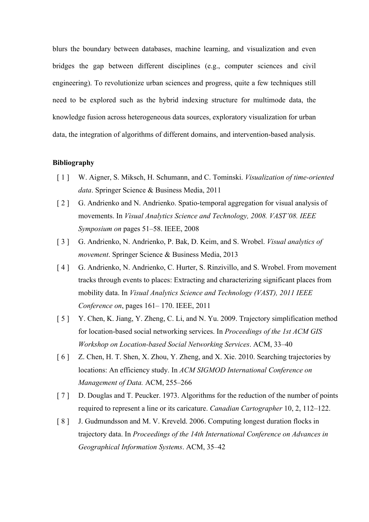blurs the boundary between databases, machine learning, and visualization and even bridges the gap between different disciplines (e.g., computer sciences and civil engineering). To revolutionize urban sciences and progress, quite a few techniques still need to be explored such as the hybrid indexing structure for multimode data, the knowledge fusion across heterogeneous data sources, exploratory visualization for urban data, the integration of algorithms of different domains, and intervention-based analysis.

# **Bibliography**

- [ 1 ] W. Aigner, S. Miksch, H. Schumann, and C. Tominski. *Visualization of time-oriented data*. Springer Science & Business Media, 2011
- [ 2 ] G. Andrienko and N. Andrienko. Spatio-temporal aggregation for visual analysis of movements. In *Visual Analytics Science and Technology, 2008. VAST'08. IEEE Symposium on* pages 51–58. IEEE, 2008
- [ 3 ] G. Andrienko, N. Andrienko, P. Bak, D. Keim, and S. Wrobel. *Visual analytics of movement*. Springer Science & Business Media, 2013
- [4] G. Andrienko, N. Andrienko, C. Hurter, S. Rinzivillo, and S. Wrobel. From movement tracks through events to places: Extracting and characterizing significant places from mobility data. In *Visual Analytics Science and Technology (VAST), 2011 IEEE Conference on*, pages 161– 170. IEEE, 2011
- [ 5 ] Y. Chen, K. Jiang, Y. Zheng, C. Li, and N. Yu. 2009. Trajectory simplification method for location-based social networking services. In *Proceedings of the 1st ACM GIS Workshop on Location-based Social Networking Services*. ACM, 33–40
- [ 6 ] Z. Chen, H. T. Shen, X. Zhou, Y. Zheng, and X. Xie. 2010. Searching trajectories by locations: An efficiency study. In *ACM SIGMOD International Conference on Management of Data.* ACM, 255–266
- [7] D. Douglas and T. Peucker. 1973. Algorithms for the reduction of the number of points required to represent a line or its caricature. *Canadian Cartographer* 10, 2, 112–122.
- [ 8 ] J. Gudmundsson and M. V. Kreveld. 2006. Computing longest duration flocks in trajectory data. In *Proceedings of the 14th International Conference on Advances in Geographical Information Systems*. ACM, 35–42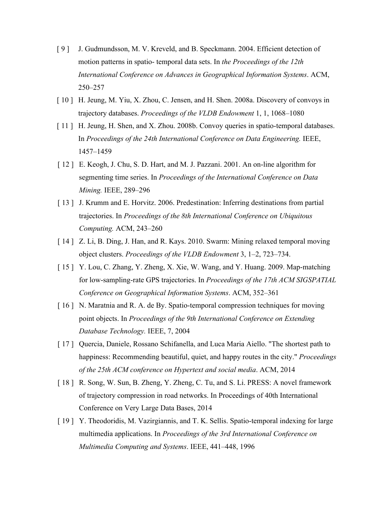- [ 9 ] J. Gudmundsson, M. V. Kreveld, and B. Speckmann. 2004. Efficient detection of motion patterns in spatio- temporal data sets. In *the Proceedings of the 12th International Conference on Advances in Geographical Information Systems*. ACM, 250–257
- [ 10 ] H. Jeung, M. Yiu, X. Zhou, C. Jensen, and H. Shen. 2008a. Discovery of convoys in trajectory databases. *Proceedings of the VLDB Endowment* 1, 1, 1068–1080
- [ 11 ] H. Jeung, H. Shen, and X. Zhou. 2008b. Convoy queries in spatio-temporal databases. In *Proceedings of the 24th International Conference on Data Engineering.* IEEE, 1457–1459
- [ 12 ] E. Keogh, J. Chu, S. D. Hart, and M. J. Pazzani. 2001. An on-line algorithm for segmenting time series. In *Proceedings of the International Conference on Data Mining.* IEEE, 289–296
- [ 13 ] J. Krumm and E. Horvitz. 2006. Predestination: Inferring destinations from partial trajectories. In *Proceedings of the 8th International Conference on Ubiquitous Computing.* ACM, 243–260
- [ 14 ] Z. Li, B. Ding, J. Han, and R. Kays. 2010. Swarm: Mining relaxed temporal moving object clusters. *Proceedings of the VLDB Endowment* 3, 1–2, 723–734.
- [ 15 ] Y. Lou, C. Zhang, Y. Zheng, X. Xie, W. Wang, and Y. Huang. 2009. Map-matching for low-sampling-rate GPS trajectories. In *Proceedings of the 17th ACM SIGSPATIAL Conference on Geographical Information Systems*. ACM, 352–361
- [ 16 ] N. Maratnia and R. A. de By. Spatio-temporal compression techniques for moving point objects. In *Proceedings of the 9th International Conference on Extending Database Technology.* IEEE, 7, 2004
- [ 17 ] Quercia, Daniele, Rossano Schifanella, and Luca Maria Aiello. "The shortest path to happiness: Recommending beautiful, quiet, and happy routes in the city." *Proceedings of the 25th ACM conference on Hypertext and social media*. ACM, 2014
- [ 18 ] R. Song, W. Sun, B. Zheng, Y. Zheng, C. Tu, and S. Li. PRESS: A novel framework of trajectory compression in road networks. In Proceedings of 40th International Conference on Very Large Data Bases, 2014
- [ 19 ] Y. Theodoridis, M. Vazirgiannis, and T. K. Sellis. Spatio-temporal indexing for large multimedia applications. In *Proceedings of the 3rd International Conference on Multimedia Computing and Systems*. IEEE, 441–448, 1996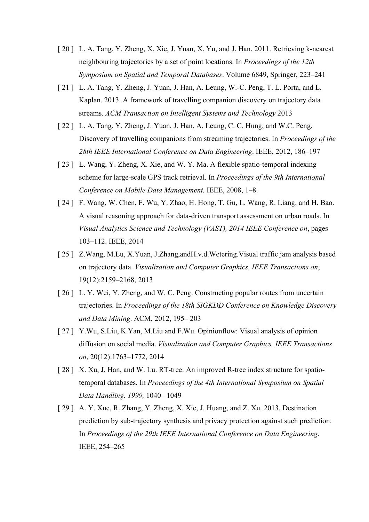- [ 20 ] L. A. Tang, Y. Zheng, X. Xie, J. Yuan, X. Yu, and J. Han. 2011. Retrieving k-nearest neighbouring trajectories by a set of point locations. In *Proceedings of the 12th Symposium on Spatial and Temporal Databases*. Volume 6849, Springer, 223–241
- [ 21 ] L. A. Tang, Y. Zheng, J. Yuan, J. Han, A. Leung, W.-C. Peng, T. L. Porta, and L. Kaplan. 2013. A framework of travelling companion discovery on trajectory data streams. *ACM Transaction on Intelligent Systems and Technology* 2013
- [ 22 ] L. A. Tang, Y. Zheng, J. Yuan, J. Han, A. Leung, C. C. Hung, and W.C. Peng. Discovery of travelling companions from streaming trajectories. In *Proceedings of the 28th IEEE International Conference on Data Engineering*. IEEE, 2012, 186–197
- [ 23 ] L. Wang, Y. Zheng, X. Xie, and W. Y. Ma. A flexible spatio-temporal indexing scheme for large-scale GPS track retrieval. In *Proceedings of the 9th International Conference on Mobile Data Management.* IEEE, 2008, 1–8.
- [ 24 ] F. Wang, W. Chen, F. Wu, Y. Zhao, H. Hong, T. Gu, L. Wang, R. Liang, and H. Bao. A visual reasoning approach for data-driven transport assessment on urban roads. In *Visual Analytics Science and Technology (VAST), 2014 IEEE Conference on*, pages 103–112. IEEE, 2014
- [ 25 ] Z.Wang, M.Lu, X.Yuan, J.Zhang, and H.v.d. Wetering. Visual traffic jam analysis based on trajectory data. *Visualization and Computer Graphics, IEEE Transactions on*, 19(12):2159–2168, 2013
- [ 26 ] L. Y. Wei, Y. Zheng, and W. C. Peng. Constructing popular routes from uncertain trajectories. In *Proceedings of the 18th SIGKDD Conference on Knowledge Discovery and Data Mining*. ACM, 2012, 195– 203
- [ 27 ] Y.Wu, S.Liu, K.Yan, M.Liu and F.Wu. Opinionflow: Visual analysis of opinion diffusion on social media. *Visualization and Computer Graphics, IEEE Transactions on*, 20(12):1763–1772, 2014
- [ 28 ] X. Xu, J. Han, and W. Lu. RT-tree: An improved R-tree index structure for spatiotemporal databases. In *Proceedings of the 4th International Symposium on Spatial Data Handling. 1999,* 1040– 1049
- [ 29 ] A. Y. Xue, R. Zhang, Y. Zheng, X. Xie, J. Huang, and Z. Xu. 2013. Destination prediction by sub-trajectory synthesis and privacy protection against such prediction. In *Proceedings of the 29th IEEE International Conference on Data Engineering*. IEEE, 254–265